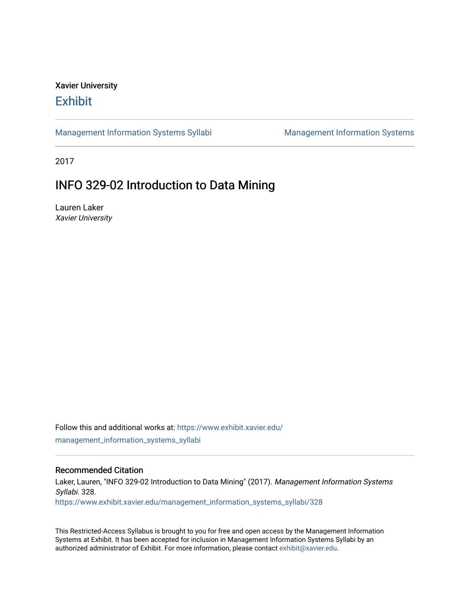# Xavier University **Exhibit**

[Management Information Systems Syllabi](https://www.exhibit.xavier.edu/management_information_systems_syllabi) Management Information Systems

2017

# INFO 329-02 Introduction to Data Mining

Lauren Laker Xavier University

Follow this and additional works at: [https://www.exhibit.xavier.edu/](https://www.exhibit.xavier.edu/management_information_systems_syllabi?utm_source=www.exhibit.xavier.edu%2Fmanagement_information_systems_syllabi%2F328&utm_medium=PDF&utm_campaign=PDFCoverPages) [management\\_information\\_systems\\_syllabi](https://www.exhibit.xavier.edu/management_information_systems_syllabi?utm_source=www.exhibit.xavier.edu%2Fmanagement_information_systems_syllabi%2F328&utm_medium=PDF&utm_campaign=PDFCoverPages) 

#### Recommended Citation

Laker, Lauren, "INFO 329-02 Introduction to Data Mining" (2017). Management Information Systems Syllabi. 328. [https://www.exhibit.xavier.edu/management\\_information\\_systems\\_syllabi/328](https://www.exhibit.xavier.edu/management_information_systems_syllabi/328?utm_source=www.exhibit.xavier.edu%2Fmanagement_information_systems_syllabi%2F328&utm_medium=PDF&utm_campaign=PDFCoverPages) 

This Restricted-Access Syllabus is brought to you for free and open access by the Management Information Systems at Exhibit. It has been accepted for inclusion in Management Information Systems Syllabi by an authorized administrator of Exhibit. For more information, please contact [exhibit@xavier.edu](mailto:exhibit@xavier.edu).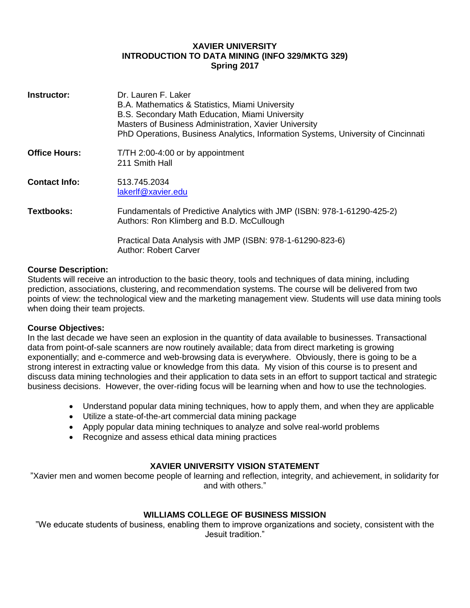# **XAVIER UNIVERSITY INTRODUCTION TO DATA MINING (INFO 329/MKTG 329) Spring 2017**

| Instructor:          | Dr. Lauren F. Laker<br>B.A. Mathematics & Statistics, Miami University<br>B.S. Secondary Math Education, Miami University<br>Masters of Business Administration, Xavier University<br>PhD Operations, Business Analytics, Information Systems, University of Cincinnati |
|----------------------|-------------------------------------------------------------------------------------------------------------------------------------------------------------------------------------------------------------------------------------------------------------------------|
| <b>Office Hours:</b> | T/TH 2:00-4:00 or by appointment<br>211 Smith Hall                                                                                                                                                                                                                      |
| <b>Contact Info:</b> | 513.745.2034<br>lakerlf@xavier.edu                                                                                                                                                                                                                                      |
| <b>Textbooks:</b>    | Fundamentals of Predictive Analytics with JMP (ISBN: 978-1-61290-425-2)<br>Authors: Ron Klimberg and B.D. McCullough                                                                                                                                                    |
|                      | Practical Data Analysis with JMP (ISBN: 978-1-61290-823-6)<br><b>Author: Robert Carver</b>                                                                                                                                                                              |

#### **Course Description:**

Students will receive an introduction to the basic theory, tools and techniques of data mining, including prediction, associations, clustering, and recommendation systems. The course will be delivered from two points of view: the technological view and the marketing management view. Students will use data mining tools when doing their team projects.

#### **Course Objectives:**

In the last decade we have seen an explosion in the quantity of data available to businesses. Transactional data from point-of-sale scanners are now routinely available; data from direct marketing is growing exponentially; and e-commerce and web-browsing data is everywhere. Obviously, there is going to be a strong interest in extracting value or knowledge from this data. My vision of this course is to present and discuss data mining technologies and their application to data sets in an effort to support tactical and strategic business decisions. However, the over-riding focus will be learning when and how to use the technologies.

- Understand popular data mining techniques, how to apply them, and when they are applicable
- Utilize a state-of-the-art commercial data mining package
- Apply popular data mining techniques to analyze and solve real-world problems
- Recognize and assess ethical data mining practices

# **XAVIER UNIVERSITY VISION STATEMENT**

"Xavier men and women become people of learning and reflection, integrity, and achievement, in solidarity for and with others."

# **WILLIAMS COLLEGE OF BUSINESS MISSION**

"We educate students of business, enabling them to improve organizations and society, consistent with the Jesuit tradition."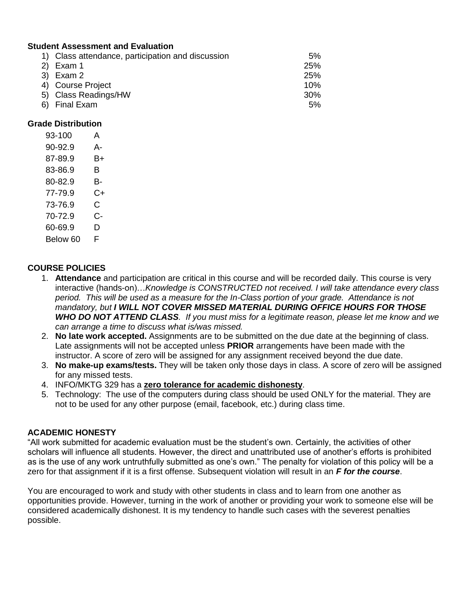# **Student Assessment and Evaluation**

| 1) Class attendance, participation and discussion | 5%         |
|---------------------------------------------------|------------|
| $2)$ Exam 1                                       | <b>25%</b> |
| 3) Exam 2                                         | <b>25%</b> |
| 4) Course Project                                 | 10%        |
| 5) Class Readings/HW                              | $30\%$     |
| 6) Final Exam                                     | 5%         |

#### **Grade Distribution**

| 93-100   | А  |
|----------|----|
| 90-92.9  | А- |
| 87-89.9  | B+ |
| 83-86.9  | в  |
| 80-82.9  | B- |
| 77-79.9  | C+ |
| 73-76.9  | C  |
| 70-72.9  | င- |
| 60-69.9  | D  |
| Below 60 | F  |

# **COURSE POLICIES**

- 1. **Attendance** and participation are critical in this course and will be recorded daily. This course is very interactive (hands-on)…*Knowledge is CONSTRUCTED not received. I will take attendance every class*  period. This will be used as a measure for the In-Class portion of your grade. Attendance is not *mandatory, but I WILL NOT COVER MISSED MATERIAL DURING OFFICE HOURS FOR THOSE WHO DO NOT ATTEND CLASS. If you must miss for a legitimate reason, please let me know and we can arrange a time to discuss what is/was missed.*
- 2. **No late work accepted.** Assignments are to be submitted on the due date at the beginning of class. Late assignments will not be accepted unless **PRIOR** arrangements have been made with the instructor. A score of zero will be assigned for any assignment received beyond the due date.
- 3. **No make-up exams/tests.** They will be taken only those days in class. A score of zero will be assigned for any missed tests.
- 4. INFO/MKTG 329 has a **zero tolerance for academic dishonesty**.
- 5. Technology: The use of the computers during class should be used ONLY for the material. They are not to be used for any other purpose (email, facebook, etc.) during class time.

# **ACADEMIC HONESTY**

"All work submitted for academic evaluation must be the student's own. Certainly, the activities of other scholars will influence all students. However, the direct and unattributed use of another's efforts is prohibited as is the use of any work untruthfully submitted as one's own." The penalty for violation of this policy will be a zero for that assignment if it is a first offense. Subsequent violation will result in an *F for the course*.

You are encouraged to work and study with other students in class and to learn from one another as opportunities provide. However, turning in the work of another or providing your work to someone else will be considered academically dishonest. It is my tendency to handle such cases with the severest penalties possible.